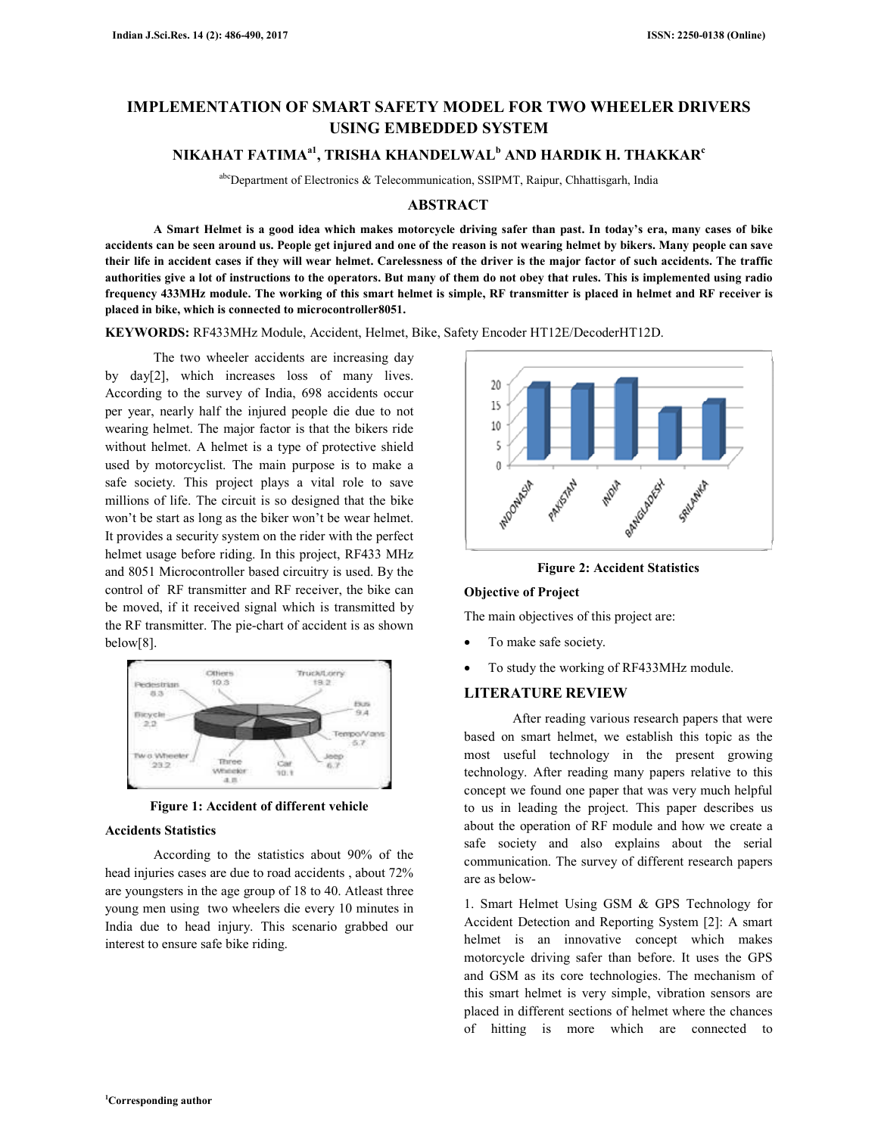# **IMPLEMENTATION OF SMART SAFETY MODEL FOR TWO WHEELER DRIVERS USING EMBEDDED SYSTEM**

## **NIKAHAT FATIMAa1, TRISHA KHANDELWAL<sup>b</sup> AND HARDIK H. THAKKAR<sup>c</sup>**

abcDepartment of Electronics & Telecommunication, SSIPMT, Raipur, Chhattisgarh, India

### **ABSTRACT**

 **A Smart Helmet is a good idea which makes motorcycle driving safer than past. In today's era, many cases of bike accidents can be seen around us. People get injured and one of the reason is not wearing helmet by bikers. Many people can save their life in accident cases if they will wear helmet. Carelessness of the driver is the major factor of such accidents. The traffic authorities give a lot of instructions to the operators. But many of them do not obey that rules. This is implemented using radio frequency 433MHz module. The working of this smart helmet is simple, RF transmitter is placed in helmet and RF receiver is placed in bike, which is connected to microcontroller8051.** 

**KEYWORDS:** RF433MHz Module, Accident, Helmet, Bike, Safety Encoder HT12E/DecoderHT12D.

 The two wheeler accidents are increasing day by day[2], which increases loss of many lives. According to the survey of India, 698 accidents occur per year, nearly half the injured people die due to not wearing helmet. The major factor is that the bikers ride without helmet. A helmet is a type of protective shield used by motorcyclist. The main purpose is to make a safe society. This project plays a vital role to save millions of life. The circuit is so designed that the bike won't be start as long as the biker won't be wear helmet. It provides a security system on the rider with the perfect helmet usage before riding. In this project, RF433 MHz and 8051 Microcontroller based circuitry is used. By the control of RF transmitter and RF receiver, the bike can be moved, if it received signal which is transmitted by the RF transmitter. The pie-chart of accident is as shown below[8].



**Figure 1: Accident of different vehicle** 

#### **Accidents Statistics**

 According to the statistics about 90% of the head injuries cases are due to road accidents , about 72% are youngsters in the age group of 18 to 40. Atleast three young men using two wheelers die every 10 minutes in India due to head injury. This scenario grabbed our interest to ensure safe bike riding.



**Figure 2: Accident Statistics** 

### **Objective of Project**

The main objectives of this project are:

- To make safe society.
- To study the working of RF433MHz module.

### **LITERATURE REVIEW**

 After reading various research papers that were based on smart helmet, we establish this topic as the most useful technology in the present growing technology. After reading many papers relative to this concept we found one paper that was very much helpful to us in leading the project. This paper describes us about the operation of RF module and how we create a safe society and also explains about the serial communication. The survey of different research papers are as below-

1. Smart Helmet Using GSM & GPS Technology for Accident Detection and Reporting System [2]: A smart helmet is an innovative concept which makes motorcycle driving safer than before. It uses the GPS and GSM as its core technologies. The mechanism of this smart helmet is very simple, vibration sensors are placed in different sections of helmet where the chances of hitting is more which are connected to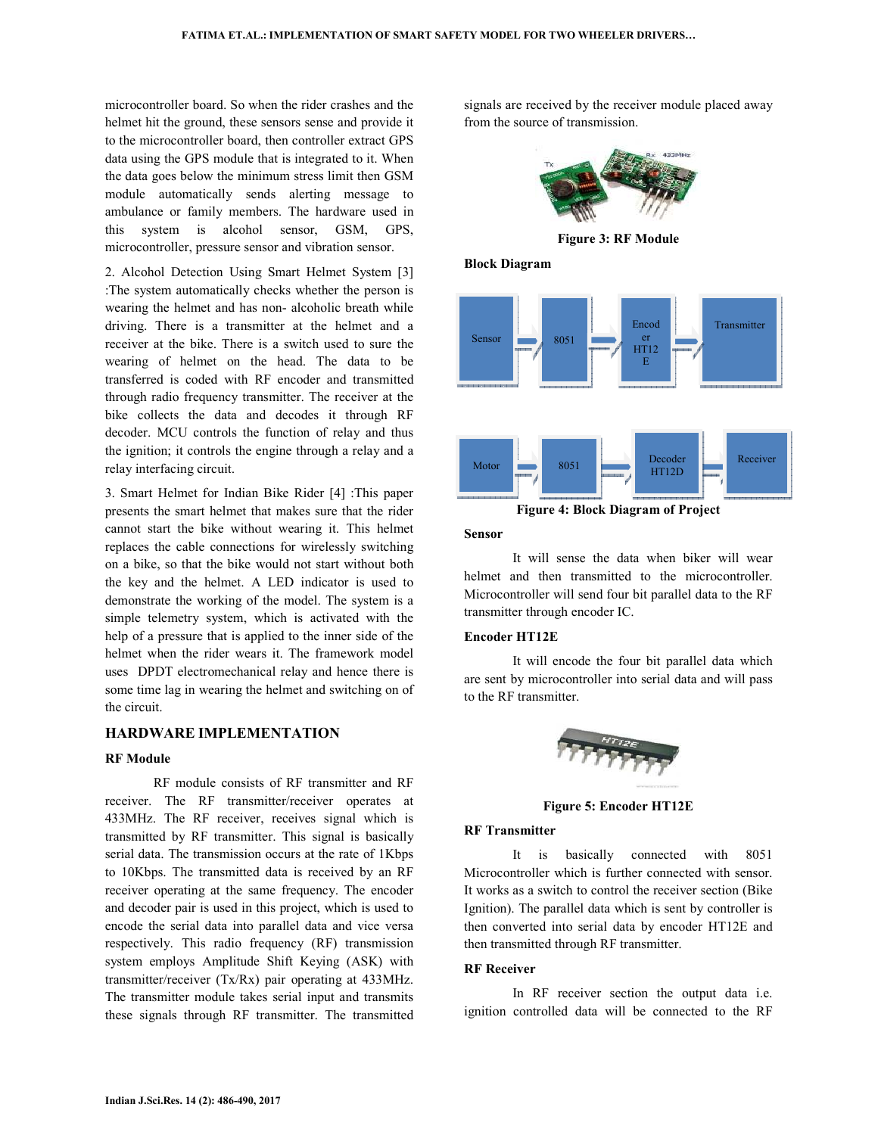microcontroller board. So when the rider crashes and the helmet hit the ground, these sensors sense and provide it to the microcontroller board, then controller extract GPS data using the GPS module that is integrated to it. When the data goes below the minimum stress limit then GSM module automatically sends alerting message to ambulance or family members. The hardware used in this system is alcohol sensor, GSM, GPS, microcontroller, pressure sensor and vibration sensor.

2. Alcohol Detection Using Smart Helmet System [3] :The system automatically checks whether the person is wearing the helmet and has non- alcoholic breath while driving. There is a transmitter at the helmet and a receiver at the bike. There is a switch used to sure the wearing of helmet on the head. The data to be transferred is coded with RF encoder and transmitted through radio frequency transmitter. The receiver at the bike collects the data and decodes it through RF decoder. MCU controls the function of relay and thus the ignition; it controls the engine through a relay and a relay interfacing circuit.

3. Smart Helmet for Indian Bike Rider [4] :This paper presents the smart helmet that makes sure that the rider cannot start the bike without wearing it. This helmet replaces the cable connections for wirelessly switching on a bike, so that the bike would not start without both the key and the helmet. A LED indicator is used to demonstrate the working of the model. The system is a simple telemetry system, which is activated with the help of a pressure that is applied to the inner side of the helmet when the rider wears it. The framework model uses DPDT electromechanical relay and hence there is some time lag in wearing the helmet and switching on of the circuit.

### **HARDWARE IMPLEMENTATION**

### **RF Module**

 RF module consists of RF transmitter and RF receiver. The RF transmitter/receiver operates at 433MHz. The RF receiver, receives signal which is transmitted by RF transmitter. This signal is basically serial data. The transmission occurs at the rate of 1Kbps to 10Kbps. The transmitted data is received by an RF receiver operating at the same frequency. The encoder and decoder pair is used in this project, which is used to encode the serial data into parallel data and vice versa respectively. This radio frequency (RF) transmission system employs Amplitude Shift Keying (ASK) with transmitter/receiver (Tx/Rx) pair operating at 433MHz. The transmitter module takes serial input and transmits these signals through RF transmitter. The transmitted

signals are received by the receiver module placed away from the source of transmission.



**Figure 3: RF Module** 

**Block Diagram** 



**Figure 4: Block Diagram of Project** 

#### **Sensor**

 It will sense the data when biker will wear helmet and then transmitted to the microcontroller. Microcontroller will send four bit parallel data to the RF transmitter through encoder IC.

### **Encoder HT12E**

 It will encode the four bit parallel data which are sent by microcontroller into serial data and will pass to the RF transmitter.



**Figure 5: Encoder HT12E** 

#### **RF Transmitter**

 It is basically connected with 8051 Microcontroller which is further connected with sensor. It works as a switch to control the receiver section (Bike Ignition). The parallel data which is sent by controller is then converted into serial data by encoder HT12E and then transmitted through RF transmitter.

### **RF Receiver**

 In RF receiver section the output data i.e. ignition controlled data will be connected to the RF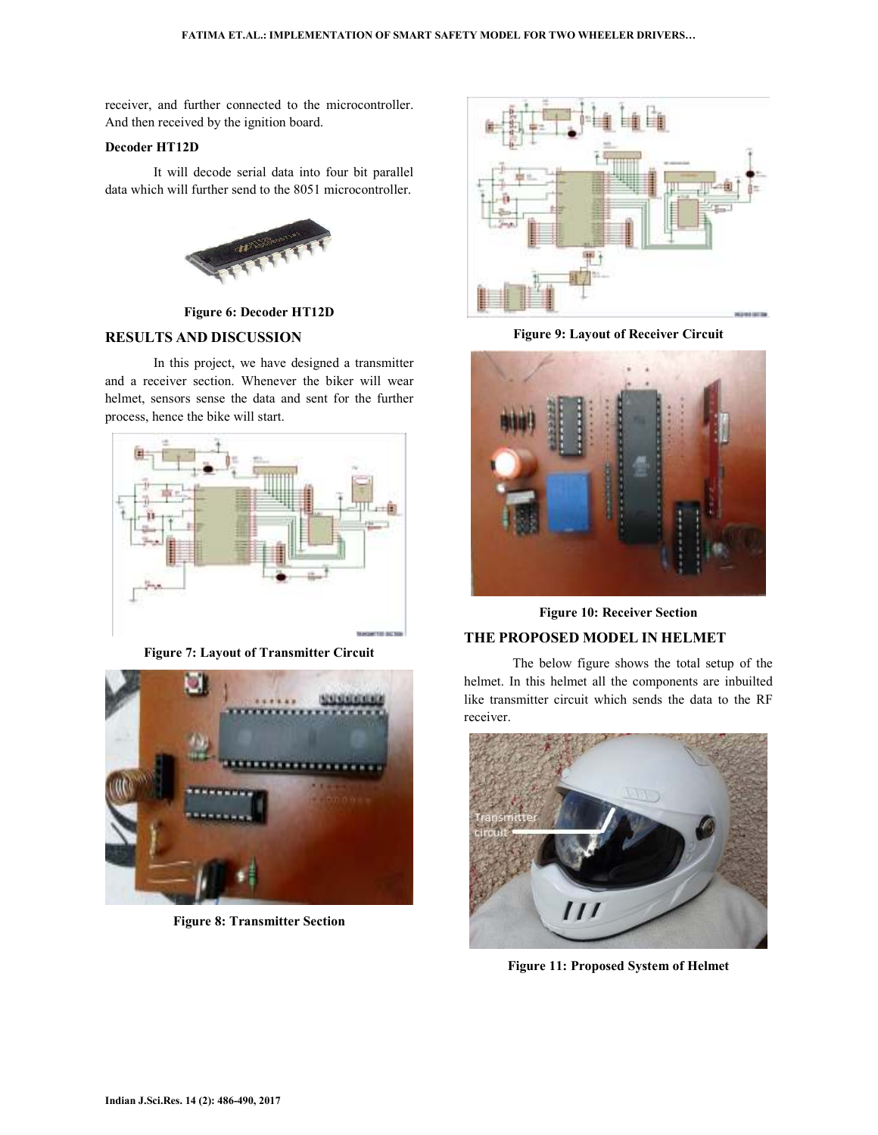receiver, and further connected to the microcontroller. And then received by the ignition board.

### **Decoder HT12D**

 It will decode serial data into four bit parallel data which will further send to the 8051 microcontroller.



**Figure 6: Decoder HT12D** 

### **RESULTS AND DISCUSSION**

 In this project, we have designed a transmitter and a receiver section. Whenever the biker will wear helmet, sensors sense the data and sent for the further process, hence the bike will start.



**Figure 7: Layout of Transmitter Circuit** 



**Figure 8: Transmitter Section** 



**Figure 9: Layout of Receiver Circuit** 



**Figure 10: Receiver Section** 

# **THE PROPOSED MODEL IN HELMET**

 The below figure shows the total setup of the helmet. In this helmet all the components are inbuilted like transmitter circuit which sends the data to the RF receiver.



**Figure 11: Proposed System of Helmet**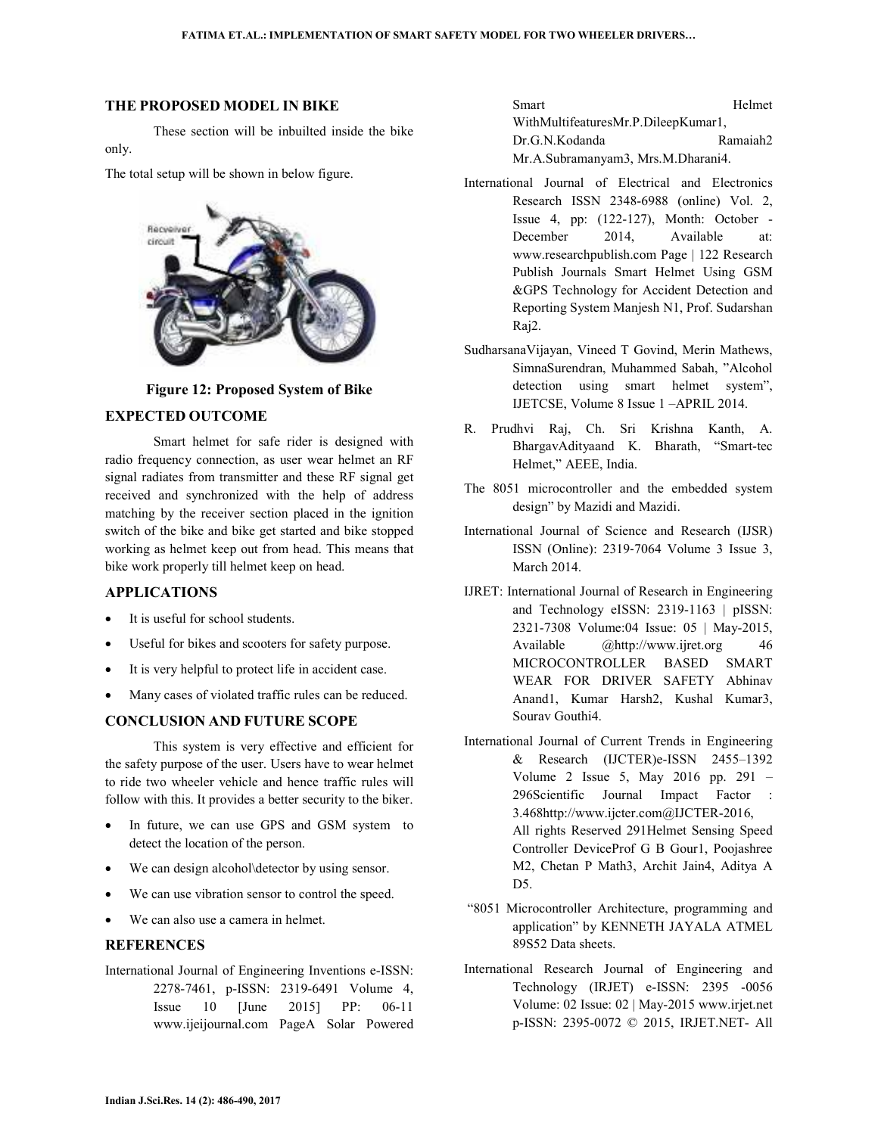### **THE PROPOSED MODEL IN BIKE**

 These section will be inbuilted inside the bike only.

The total setup will be shown in below figure.



**Figure 12: Proposed System of Bike** 

### **EXPECTED OUTCOME**

 Smart helmet for safe rider is designed with radio frequency connection, as user wear helmet an RF signal radiates from transmitter and these RF signal get received and synchronized with the help of address matching by the receiver section placed in the ignition switch of the bike and bike get started and bike stopped working as helmet keep out from head. This means that bike work properly till helmet keep on head.

### **APPLICATIONS**

- It is useful for school students.
- Useful for bikes and scooters for safety purpose.
- It is very helpful to protect life in accident case.
- Many cases of violated traffic rules can be reduced.

### **CONCLUSION AND FUTURE SCOPE**

 This system is very effective and efficient for the safety purpose of the user. Users have to wear helmet to ride two wheeler vehicle and hence traffic rules will follow with this. It provides a better security to the biker.

- In future, we can use GPS and GSM system to detect the location of the person.
- We can design alcohol\detector by using sensor.
- We can use vibration sensor to control the speed.
- We can also use a camera in helmet.

## **REFERENCES**

International Journal of Engineering Inventions e-ISSN: 2278-7461, p-ISSN: 2319-6491 Volume 4, Issue 10 [June 2015] PP: 06-11 www.ijeijournal.com PageA Solar Powered

Smart Helmet WithMultifeaturesMr.P.DileepKumar1, Dr.G.N.Kodanda Ramaiah2 Mr.A.Subramanyam3, Mrs.M.Dharani4.

- International Journal of Electrical and Electronics Research ISSN 2348-6988 (online) Vol. 2, Issue 4, pp: (122-127), Month: October - December 2014, Available at: www.researchpublish.com Page | 122 Research Publish Journals Smart Helmet Using GSM &GPS Technology for Accident Detection and Reporting System Manjesh N1, Prof. Sudarshan Raj2.
- SudharsanaVijayan, Vineed T Govind, Merin Mathews, SimnaSurendran, Muhammed Sabah, "Alcohol detection using smart helmet system", IJETCSE, Volume 8 Issue 1 –APRIL 2014.
- R. Prudhvi Raj, Ch. Sri Krishna Kanth, A. BhargavAdityaand K. Bharath, "Smart-tec Helmet," AEEE, India.
- The 8051 microcontroller and the embedded system design" by Mazidi and Mazidi.
- International Journal of Science and Research (IJSR) ISSN (Online): 2319‐7064 Volume 3 Issue 3, March 2014.
- IJRET: International Journal of Research in Engineering and Technology eISSN: 2319-1163 | pISSN: 2321-7308 Volume:04 Issue: 05 | May-2015, Available @http://www.ijret.org 46 MICROCONTROLLER BASED SMART WEAR FOR DRIVER SAFETY Abhinav Anand1, Kumar Harsh2, Kushal Kumar3, Sourav Gouthi4.
- International Journal of Current Trends in Engineering & Research (IJCTER)e-ISSN 2455–1392 Volume 2 Issue 5, May 2016 pp. 291 – 296Scientific Journal Impact Factor : 3.468http://www.ijcter.com@IJCTER-2016, All rights Reserved 291Helmet Sensing Speed Controller DeviceProf G B Gour1, Poojashree M2, Chetan P Math3, Archit Jain4, Aditya A D5.
- "8051 Microcontroller Architecture, programming and application" by KENNETH JAYALA ATMEL 89S52 Data sheets.
- International Research Journal of Engineering and Technology (IRJET) e-ISSN: 2395 -0056 Volume: 02 Issue: 02 | May-2015 www.irjet.net p-ISSN: 2395-0072 © 2015, IRJET.NET- All